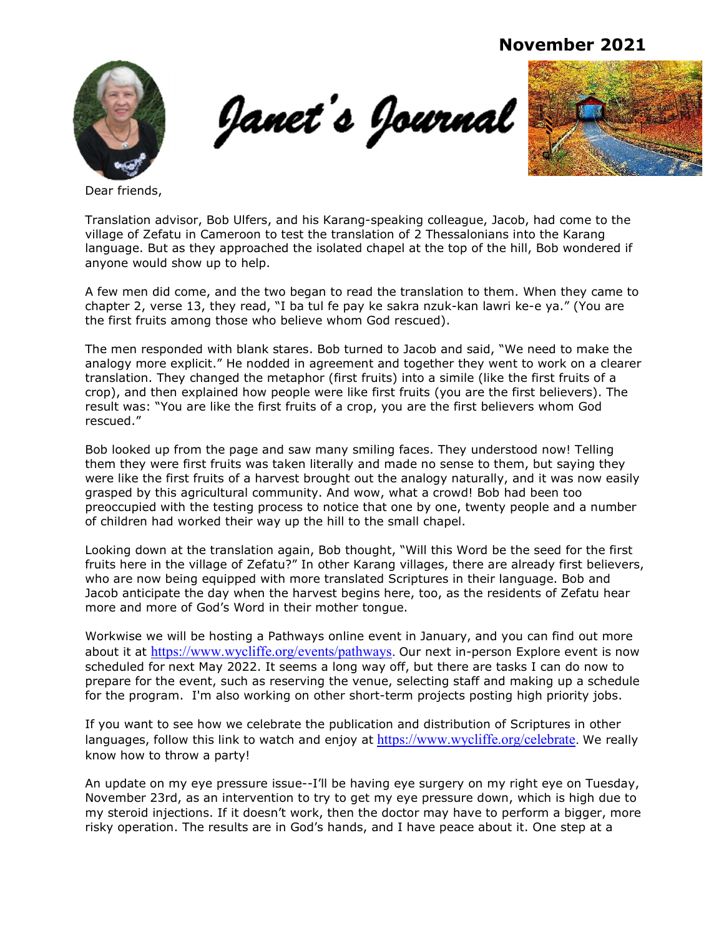November 2021



Janet's Journal



Dear friends,

Translation advisor, Bob Ulfers, and his Karang-speaking colleague, Jacob, had come to the village of Zefatu in Cameroon to test the translation of 2 Thessalonians into the Karang language. But as they approached the isolated chapel at the top of the hill, Bob wondered if anyone would show up to help.

A few men did come, and the two began to read the translation to them. When they came to chapter 2, verse 13, they read, "I ba tul fe pay ke sakra nzuk-kan lawri ke-e ya." (You are the first fruits among those who believe whom God rescued).

The men responded with blank stares. Bob turned to Jacob and said, "We need to make the analogy more explicit." He nodded in agreement and together they went to work on a clearer translation. They changed the metaphor (first fruits) into a simile (like the first fruits of a crop), and then explained how people were like first fruits (you are the first believers). The result was: "You are like the first fruits of a crop, you are the first believers whom God rescued."

Bob looked up from the page and saw many smiling faces. They understood now! Telling them they were first fruits was taken literally and made no sense to them, but saying they were like the first fruits of a harvest brought out the analogy naturally, and it was now easily grasped by this agricultural community. And wow, what a crowd! Bob had been too preoccupied with the testing process to notice that one by one, twenty people and a number of children had worked their way up the hill to the small chapel.

Looking down at the translation again, Bob thought, "Will this Word be the seed for the first fruits here in the village of Zefatu?" In other Karang villages, there are already first believers, who are now being equipped with more translated Scriptures in their language. Bob and Jacob anticipate the day when the harvest begins here, too, as the residents of Zefatu hear more and more of God's Word in their mother tongue.

Workwise we will be hosting a Pathways online event in January, and you can find out more about it at https://www.wycliffe.org/events/pathways. Our next in-person Explore event is now scheduled for next May 2022. It seems a long way off, but there are tasks I can do now to prepare for the event, such as reserving the venue, selecting staff and making up a schedule for the program. I'm also working on other short-term projects posting high priority jobs.

If you want to see how we celebrate the publication and distribution of Scriptures in other languages, follow this link to watch and enjoy at https://www.wycliffe.org/celebrate. We really know how to throw a party!

An update on my eye pressure issue--I'll be having eye surgery on my right eye on Tuesday, November 23rd, as an intervention to try to get my eye pressure down, which is high due to my steroid injections. If it doesn't work, then the doctor may have to perform a bigger, more risky operation. The results are in God's hands, and I have peace about it. One step at a